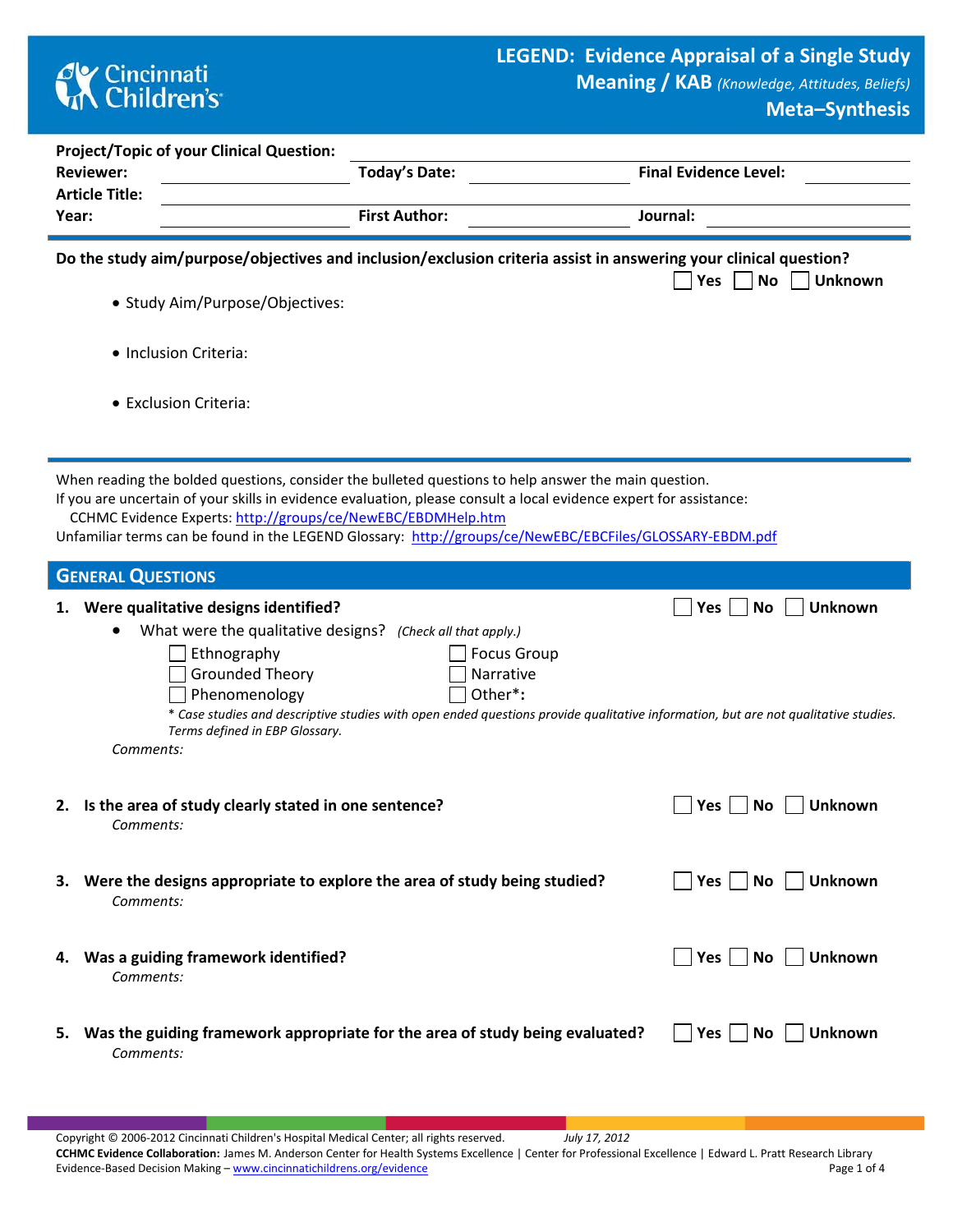## **CK** Cincinnati<br> **Children's**

**Meta–Synthesis**

| <b>Project/Topic of your Clinical Question:</b><br><b>Reviewer:</b><br><b>Article Title:</b>                                                                                                                                                                                                                                                                                                           | <b>Today's Date:</b>                                                                                                                                                             | <b>Final Evidence Level:</b>           |
|--------------------------------------------------------------------------------------------------------------------------------------------------------------------------------------------------------------------------------------------------------------------------------------------------------------------------------------------------------------------------------------------------------|----------------------------------------------------------------------------------------------------------------------------------------------------------------------------------|----------------------------------------|
| Year:                                                                                                                                                                                                                                                                                                                                                                                                  | <b>First Author:</b>                                                                                                                                                             | Journal:                               |
| Do the study aim/purpose/objectives and inclusion/exclusion criteria assist in answering your clinical question?                                                                                                                                                                                                                                                                                       |                                                                                                                                                                                  | Yes<br><b>No</b><br><b>Unknown</b>     |
| • Study Aim/Purpose/Objectives:                                                                                                                                                                                                                                                                                                                                                                        |                                                                                                                                                                                  |                                        |
| • Inclusion Criteria:                                                                                                                                                                                                                                                                                                                                                                                  |                                                                                                                                                                                  |                                        |
| • Exclusion Criteria:                                                                                                                                                                                                                                                                                                                                                                                  |                                                                                                                                                                                  |                                        |
|                                                                                                                                                                                                                                                                                                                                                                                                        |                                                                                                                                                                                  |                                        |
| When reading the bolded questions, consider the bulleted questions to help answer the main question.<br>If you are uncertain of your skills in evidence evaluation, please consult a local evidence expert for assistance:<br>CCHMC Evidence Experts: http://groups/ce/NewEBC/EBDMHelp.htm<br>Unfamiliar terms can be found in the LEGEND Glossary: http://groups/ce/NewEBC/EBCFiles/GLOSSARY-EBDM.pdf |                                                                                                                                                                                  |                                        |
| <b>GENERAL QUESTIONS</b>                                                                                                                                                                                                                                                                                                                                                                               |                                                                                                                                                                                  |                                        |
| 1. Were qualitative designs identified?<br>What were the qualitative designs? (Check all that apply.)<br>Ethnography<br><b>Grounded Theory</b><br>Phenomenology<br>Terms defined in EBP Glossary.<br>Comments:                                                                                                                                                                                         | <b>Focus Group</b><br>Narrative<br>Other*:<br>* Case studies and descriptive studies with open ended questions provide qualitative information, but are not qualitative studies. | <b>Unknown</b><br>Yes<br>No            |
| 2. Is the area of study clearly stated in one sentence?<br>Comments:                                                                                                                                                                                                                                                                                                                                   |                                                                                                                                                                                  | <b>Unknown</b><br>Yes<br><b>No</b>     |
| 3. Were the designs appropriate to explore the area of study being studied?<br>Comments:                                                                                                                                                                                                                                                                                                               |                                                                                                                                                                                  | Yes $\vert$ $\vert$<br>Unknown<br>No l |
| 4. Was a guiding framework identified?<br>Comments:                                                                                                                                                                                                                                                                                                                                                    |                                                                                                                                                                                  | $Yes \mid \text{No}$<br>Unknown        |
| 5. Was the guiding framework appropriate for the area of study being evaluated?<br>Comments:                                                                                                                                                                                                                                                                                                           |                                                                                                                                                                                  | Yes  <br>No.<br>Unknown                |

Copyright © 2006-2012 Cincinnati Children's Hospital Medical Center; all rights reserved. *July 17, 2012* **CCHMC Evidence Collaboration:** James M. Anderson Center for Health Systems Excellence | Center for Professional Excellence | Edward L. Pratt Research Library Evidence-Based Decision Making – [www.cincinnatichildrens.org/evidence](http://www.cincinnatichildrens.org/service/j/anderson-center/evidence-based-care/legend/) Page 1 of 4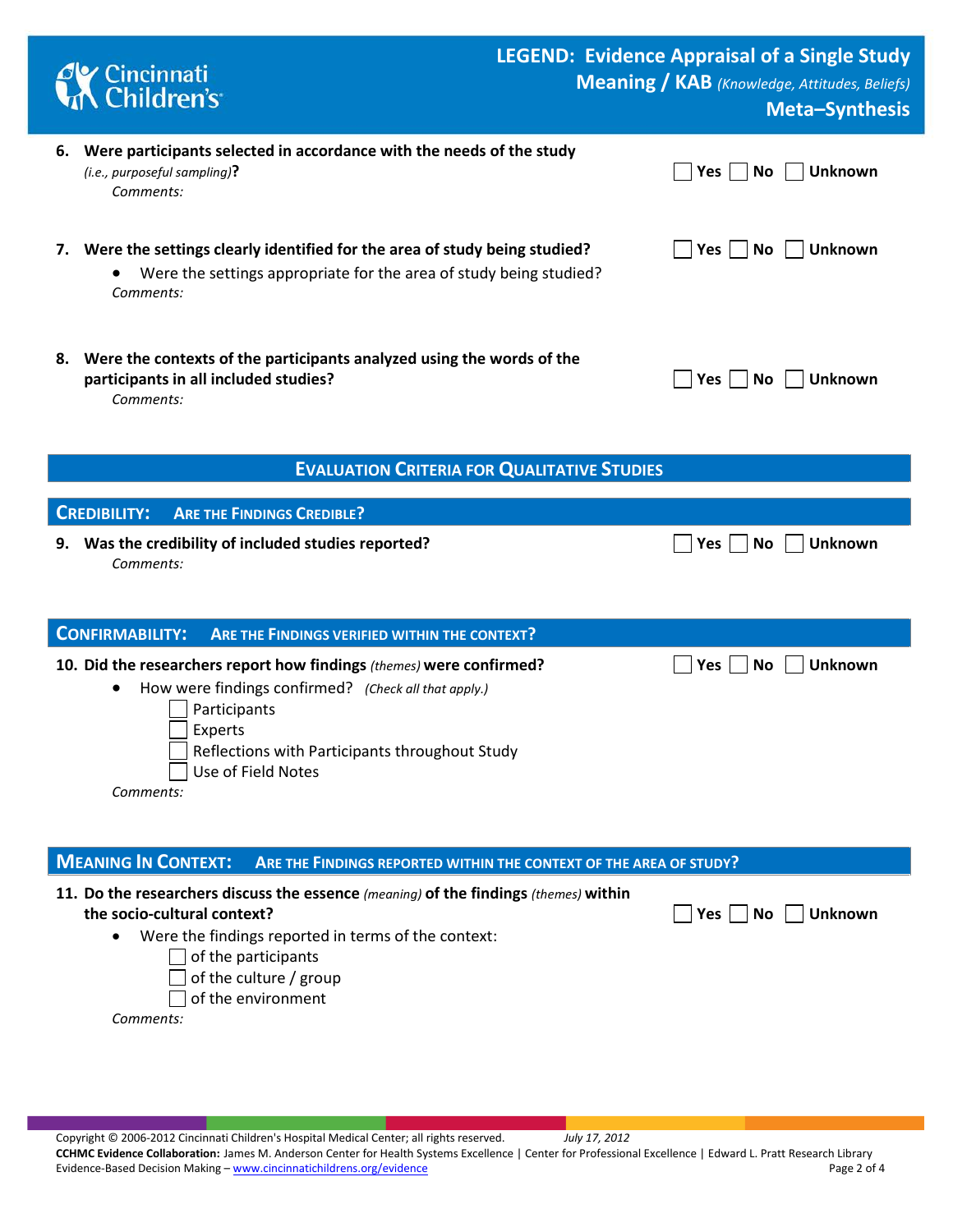| Cincinnati<br>K Children's                                                                                                                                                                                                                                     | <b>LEGEND: Evidence Appraisal of a Single Study</b><br><b>Meaning / KAB</b> (Knowledge, Attitudes, Beliefs)<br><b>Meta-Synthesis</b> |
|----------------------------------------------------------------------------------------------------------------------------------------------------------------------------------------------------------------------------------------------------------------|--------------------------------------------------------------------------------------------------------------------------------------|
| 6. Were participants selected in accordance with the needs of the study<br>(i.e., purposeful sampling)?<br>Comments:                                                                                                                                           | <b>Unknown</b><br><b>No</b><br>Yes $ $                                                                                               |
| Were the settings clearly identified for the area of study being studied?<br>7.<br>Were the settings appropriate for the area of study being studied?<br>Comments:                                                                                             | <b>Unknown</b><br>$Yes \mid \text{No}$                                                                                               |
| 8. Were the contexts of the participants analyzed using the words of the<br>participants in all included studies?<br>Comments:                                                                                                                                 | $Yes \mid \text{No}$<br>Unknown                                                                                                      |
|                                                                                                                                                                                                                                                                | <b>EVALUATION CRITERIA FOR QUALITATIVE STUDIES</b>                                                                                   |
| <b>CREDIBILITY:</b><br><b>ARE THE FINDINGS CREDIBLE?</b>                                                                                                                                                                                                       |                                                                                                                                      |
| 9. Was the credibility of included studies reported?<br>Comments:                                                                                                                                                                                              | <b>Unknown</b><br><b>No</b><br>Yes $ $                                                                                               |
| <b>CONFIRMABILITY:</b><br><b>ARE THE FINDINGS VERIFIED WITHIN THE CONTEXT?</b>                                                                                                                                                                                 |                                                                                                                                      |
| 10. Did the researchers report how findings (themes) were confirmed?<br>How were findings confirmed? (Check all that apply.)<br>٠<br>Participants<br>Experts<br>Reflections with Participants throughout Study<br>Use of Field Notes<br>Comments:              | Unknown<br><b>No</b><br>Yes $ $                                                                                                      |
| <b>MEANING IN CONTEXT:</b>                                                                                                                                                                                                                                     | ARE THE FINDINGS REPORTED WITHIN THE CONTEXT OF THE AREA OF STUDY?                                                                   |
| 11. Do the researchers discuss the essence (meaning) of the findings (themes) within<br>the socio-cultural context?<br>Were the findings reported in terms of the context:<br>of the participants<br>of the culture / group<br>of the environment<br>Comments: | $Yes \mid \text{No}$<br>Unknown                                                                                                      |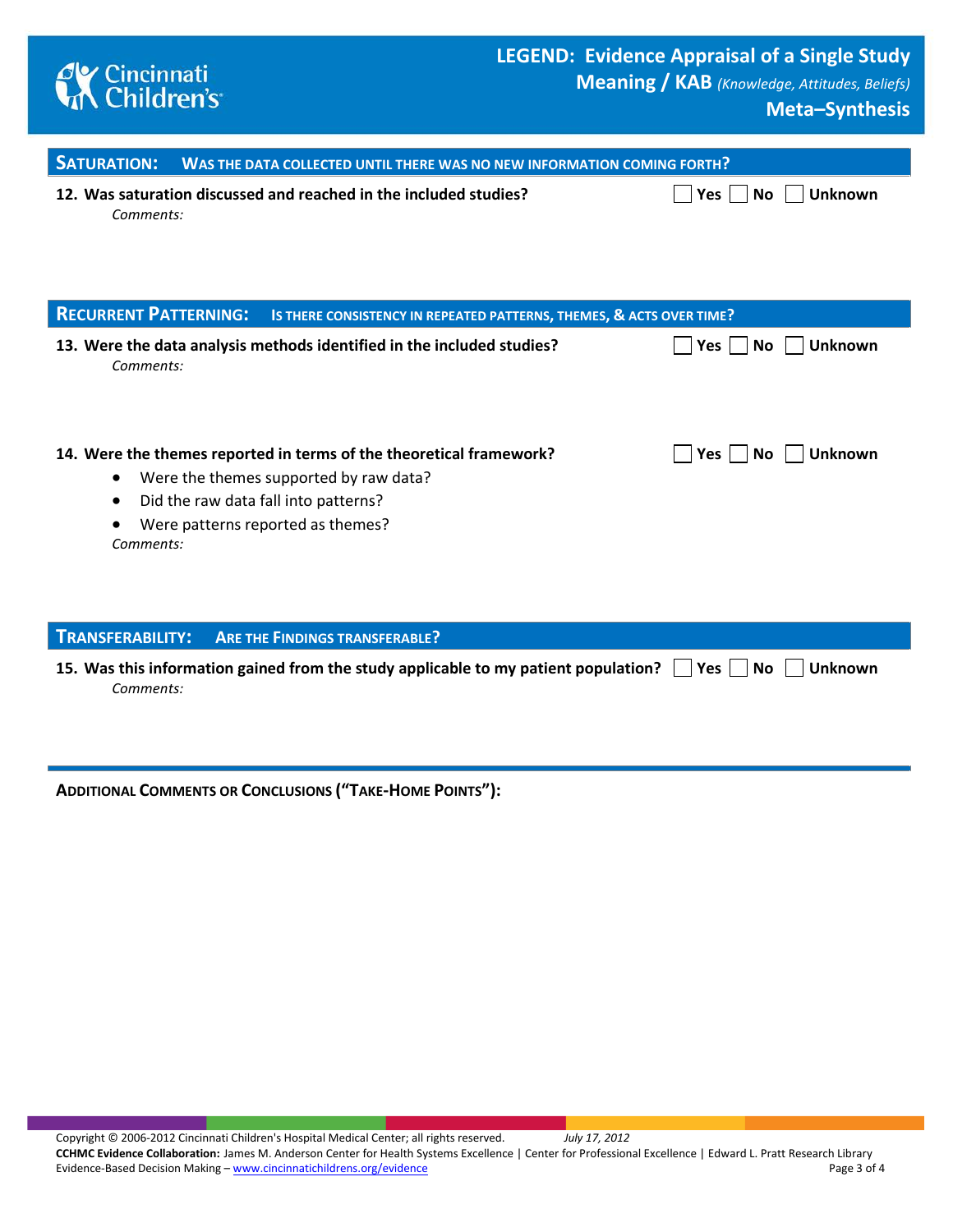

**Meta–Synthesis**

| <b>SATURATION:</b><br>WAS THE DATA COLLECTED UNTIL THERE WAS NO NEW INFORMATION COMING FORTH? |                                                                                                                                                                                            |                              |  |  |  |
|-----------------------------------------------------------------------------------------------|--------------------------------------------------------------------------------------------------------------------------------------------------------------------------------------------|------------------------------|--|--|--|
| Comments:                                                                                     | 12. Was saturation discussed and reached in the included studies?                                                                                                                          | <b>Unknown</b><br>Yes<br>No. |  |  |  |
| <b>RECURRENT PATTERNING:</b>                                                                  | IS THERE CONSISTENCY IN REPEATED PATTERNS, THEMES, & ACTS OVER TIME?                                                                                                                       |                              |  |  |  |
| Comments:                                                                                     | 13. Were the data analysis methods identified in the included studies?                                                                                                                     | <b>Unknown</b><br>Yes<br>No. |  |  |  |
| $\bullet$<br>٠<br>Comments:                                                                   | 14. Were the themes reported in terms of the theoretical framework?<br>Were the themes supported by raw data?<br>Did the raw data fall into patterns?<br>Were patterns reported as themes? | Yes<br><b>Unknown</b><br>No. |  |  |  |

## **TRANSFERABILITY: ARE THE FINDINGS TRANSFERABLE?**

| 15. Was this information gained from the study applicable to my patient population? $\Box$ Yes $\Box$ No $\Box$ Unknown |  |
|-------------------------------------------------------------------------------------------------------------------------|--|
| Comments:                                                                                                               |  |

**ADDITIONAL COMMENTS OR CONCLUSIONS ("TAKE-HOME POINTS"):**